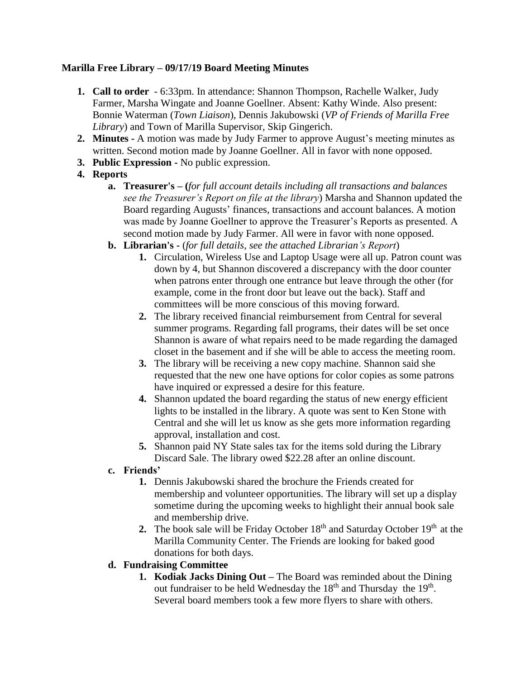## **Marilla Free Library – 09/17/19 Board Meeting Minutes**

- **1. Call to order** 6:33pm. In attendance: Shannon Thompson, Rachelle Walker, Judy Farmer, Marsha Wingate and Joanne Goellner. Absent: Kathy Winde. Also present: Bonnie Waterman (*Town Liaison*), Dennis Jakubowski (*VP of Friends of Marilla Free Library*) and Town of Marilla Supervisor, Skip Gingerich.
- **2. Minutes -** A motion was made by Judy Farmer to approve August's meeting minutes as written. Second motion made by Joanne Goellner. All in favor with none opposed.
- **3. Public Expression -** No public expression.

# **4. Reports**

- **a. Treasurer's – (***for full account details including all transactions and balances see the Treasurer's Report on file at the library*) Marsha and Shannon updated the Board regarding Augusts' finances, transactions and account balances. A motion was made by Joanne Goellner to approve the Treasurer's Reports as presented. A second motion made by Judy Farmer. All were in favor with none opposed.
- **b. Librarian's -** (*for full details, see the attached Librarian's Report*)
	- **1.** Circulation, Wireless Use and Laptop Usage were all up. Patron count was down by 4, but Shannon discovered a discrepancy with the door counter when patrons enter through one entrance but leave through the other (for example, come in the front door but leave out the back). Staff and committees will be more conscious of this moving forward.
	- **2.** The library received financial reimbursement from Central for several summer programs. Regarding fall programs, their dates will be set once Shannon is aware of what repairs need to be made regarding the damaged closet in the basement and if she will be able to access the meeting room.
	- **3.** The library will be receiving a new copy machine. Shannon said she requested that the new one have options for color copies as some patrons have inquired or expressed a desire for this feature.
	- **4.** Shannon updated the board regarding the status of new energy efficient lights to be installed in the library. A quote was sent to Ken Stone with Central and she will let us know as she gets more information regarding approval, installation and cost.
	- **5.** Shannon paid NY State sales tax for the items sold during the Library Discard Sale. The library owed \$22.28 after an online discount.
- **c. Friends'**
	- **1.** Dennis Jakubowski shared the brochure the Friends created for membership and volunteer opportunities. The library will set up a display sometime during the upcoming weeks to highlight their annual book sale and membership drive.
	- **2.** The book sale will be Friday October  $18<sup>th</sup>$  and Saturday October  $19<sup>th</sup>$  at the Marilla Community Center. The Friends are looking for baked good donations for both days.

## **d. Fundraising Committee**

**1. Kodiak Jacks Dining Out –** The Board was reminded about the Dining out fundraiser to be held Wednesday the  $18<sup>th</sup>$  and Thursday the  $19<sup>th</sup>$ . Several board members took a few more flyers to share with others.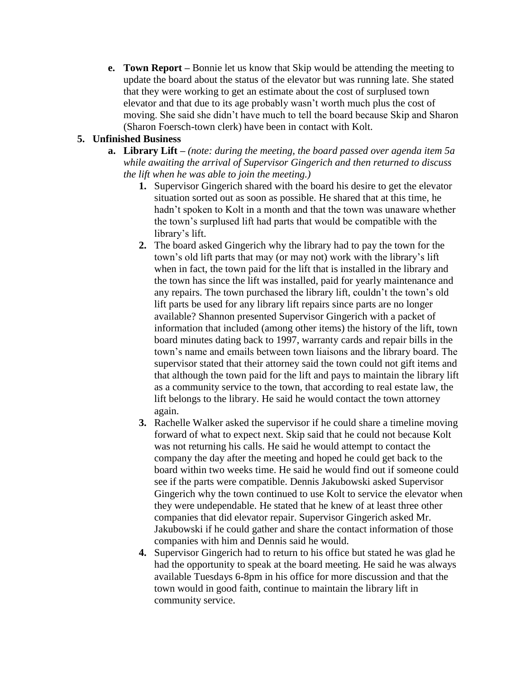**e. Town Report –** Bonnie let us know that Skip would be attending the meeting to update the board about the status of the elevator but was running late. She stated that they were working to get an estimate about the cost of surplused town elevator and that due to its age probably wasn't worth much plus the cost of moving. She said she didn't have much to tell the board because Skip and Sharon (Sharon Foersch-town clerk) have been in contact with Kolt.

## **5. Unfinished Business**

- **a. Library Lift –** *(note: during the meeting, the board passed over agenda item 5a while awaiting the arrival of Supervisor Gingerich and then returned to discuss the lift when he was able to join the meeting.)*
	- **1.** Supervisor Gingerich shared with the board his desire to get the elevator situation sorted out as soon as possible. He shared that at this time, he hadn't spoken to Kolt in a month and that the town was unaware whether the town's surplused lift had parts that would be compatible with the library's lift.
	- **2.** The board asked Gingerich why the library had to pay the town for the town's old lift parts that may (or may not) work with the library's lift when in fact, the town paid for the lift that is installed in the library and the town has since the lift was installed, paid for yearly maintenance and any repairs. The town purchased the library lift, couldn't the town's old lift parts be used for any library lift repairs since parts are no longer available? Shannon presented Supervisor Gingerich with a packet of information that included (among other items) the history of the lift, town board minutes dating back to 1997, warranty cards and repair bills in the town's name and emails between town liaisons and the library board. The supervisor stated that their attorney said the town could not gift items and that although the town paid for the lift and pays to maintain the library lift as a community service to the town, that according to real estate law, the lift belongs to the library. He said he would contact the town attorney again.
	- **3.** Rachelle Walker asked the supervisor if he could share a timeline moving forward of what to expect next. Skip said that he could not because Kolt was not returning his calls. He said he would attempt to contact the company the day after the meeting and hoped he could get back to the board within two weeks time. He said he would find out if someone could see if the parts were compatible. Dennis Jakubowski asked Supervisor Gingerich why the town continued to use Kolt to service the elevator when they were undependable. He stated that he knew of at least three other companies that did elevator repair. Supervisor Gingerich asked Mr. Jakubowski if he could gather and share the contact information of those companies with him and Dennis said he would.
	- **4.** Supervisor Gingerich had to return to his office but stated he was glad he had the opportunity to speak at the board meeting. He said he was always available Tuesdays 6-8pm in his office for more discussion and that the town would in good faith, continue to maintain the library lift in community service.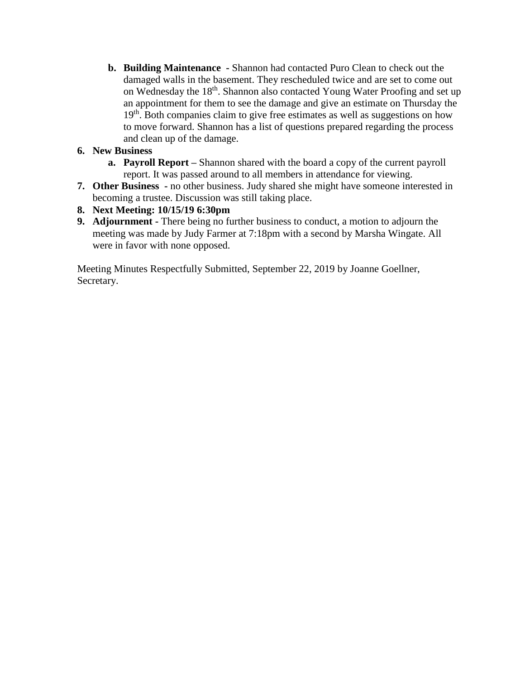**b. Building Maintenance -** Shannon had contacted Puro Clean to check out the damaged walls in the basement. They rescheduled twice and are set to come out on Wednesday the 18th. Shannon also contacted Young Water Proofing and set up an appointment for them to see the damage and give an estimate on Thursday the 19<sup>th</sup>. Both companies claim to give free estimates as well as suggestions on how to move forward. Shannon has a list of questions prepared regarding the process and clean up of the damage.

## **6. New Business**

- **a. Payroll Report –** Shannon shared with the board a copy of the current payroll report. It was passed around to all members in attendance for viewing.
- **7. Other Business -** no other business. Judy shared she might have someone interested in becoming a trustee. Discussion was still taking place.

## **8. Next Meeting: 10/15/19 6:30pm**

**9. Adjournment -** There being no further business to conduct, a motion to adjourn the meeting was made by Judy Farmer at 7:18pm with a second by Marsha Wingate. All were in favor with none opposed.

Meeting Minutes Respectfully Submitted, September 22, 2019 by Joanne Goellner, Secretary.